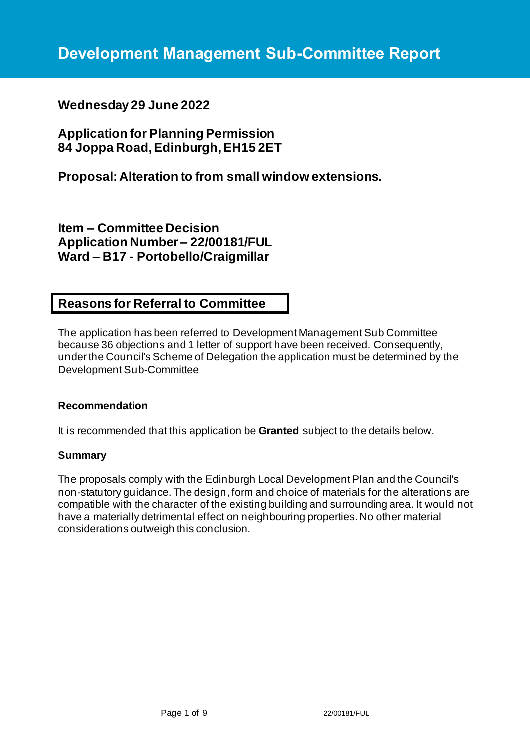# **Wednesday 29 June 2022**

**Application for Planning Permission 84 Joppa Road, Edinburgh, EH15 2ET**

**Proposal: Alteration to from small window extensions.**

**Item – Committee Decision Application Number – 22/00181/FUL Ward – B17 - Portobello/Craigmillar**

## **Reasons for Referral to Committee**

The application has been referred to Development Management Sub Committee because 36 objections and 1 letter of support have been received. Consequently, under the Council's Scheme of Delegation the application must be determined by the Development Sub-Committee

## **Recommendation**

It is recommended that this application be **Granted** subject to the details below.

## **Summary**

The proposals comply with the Edinburgh Local Development Plan and the Council's non-statutory guidance. The design, form and choice of materials for the alterations are compatible with the character of the existing building and surrounding area. It would not have a materially detrimental effect on neighbouring properties. No other material considerations outweigh this conclusion.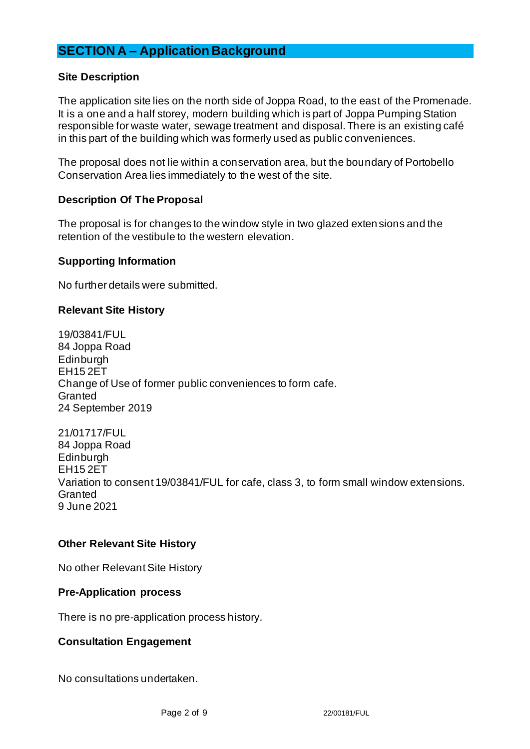# **SECTION A – Application Background**

## **Site Description**

The application site lies on the north side of Joppa Road, to the east of the Promenade. It is a one and a half storey, modern building which is part of Joppa Pumping Station responsible for waste water, sewage treatment and disposal. There is an existing café in this part of the building which was formerly used as public conveniences.

The proposal does not lie within a conservation area, but the boundary of Portobello Conservation Area lies immediately to the west of the site.

## **Description Of The Proposal**

The proposal is for changes to the window style in two glazed extensions and the retention of the vestibule to the western elevation.

## **Supporting Information**

No further details were submitted.

## **Relevant Site History**

19/03841/FUL 84 Joppa Road **Edinburgh** EH15 2ET Change of Use of former public conveniences to form cafe. **Granted** 24 September 2019

21/01717/FUL 84 Joppa Road Edinburgh EH15 2ET Variation to consent 19/03841/FUL for cafe, class 3, to form small window extensions. **Granted** 9 June 2021

## **Other Relevant Site History**

No other Relevant Site History

#### **Pre-Application process**

There is no pre-application process history.

## **Consultation Engagement**

No consultations undertaken.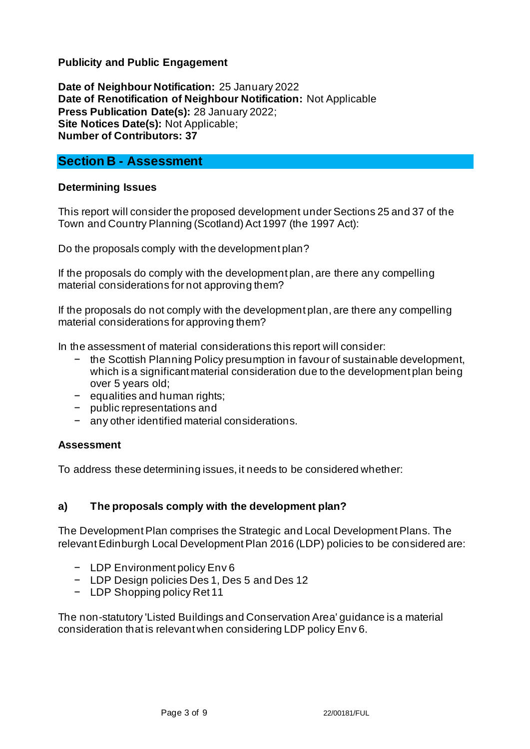## **Publicity and Public Engagement**

**Date of Neighbour Notification:** 25 January 2022 **Date of Renotification of Neighbour Notification:** Not Applicable **Press Publication Date(s):** 28 January 2022; **Site Notices Date(s):** Not Applicable; **Number of Contributors: 37**

## **Section B - Assessment**

## **Determining Issues**

This report will consider the proposed development under Sections 25 and 37 of the Town and Country Planning (Scotland) Act 1997 (the 1997 Act):

Do the proposals comply with the development plan?

If the proposals do comply with the development plan, are there any compelling material considerations for not approving them?

If the proposals do not comply with the development plan, are there any compelling material considerations for approving them?

In the assessment of material considerations this report will consider:

- − the Scottish Planning Policy presumption in favour of sustainable development, which is a significant material consideration due to the development plan being over 5 years old;
- − equalities and human rights;
- − public representations and
- − any other identified material considerations.

## **Assessment**

To address these determining issues, it needs to be considered whether:

## **a) The proposals comply with the development plan?**

The Development Plan comprises the Strategic and Local Development Plans. The relevant Edinburgh Local Development Plan 2016 (LDP) policies to be considered are:

- − LDP Environment policy Env 6
- − LDP Design policies Des 1, Des 5 and Des 12
- − LDP Shopping policy Ret 11

The non-statutory 'Listed Buildings and Conservation Area' guidance is a material consideration that is relevant when considering LDP policy Env 6.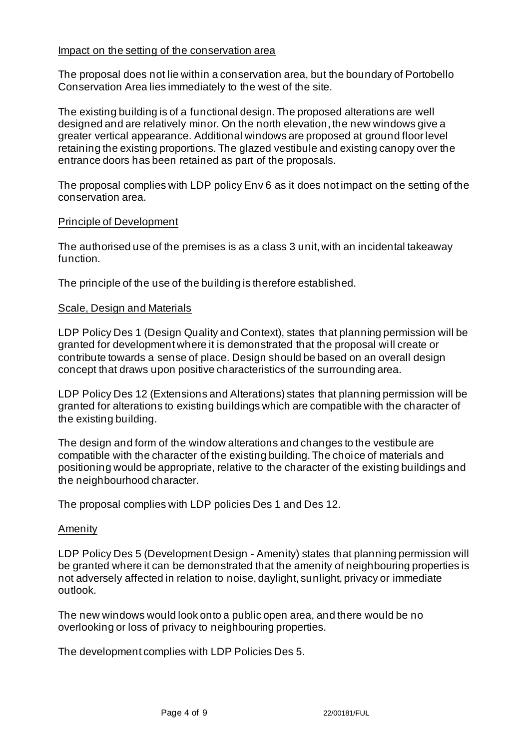## Impact on the setting of the conservation area

The proposal does not lie within a conservation area, but the boundary of Portobello Conservation Area lies immediately to the west of the site.

The existing building is of a functional design. The proposed alterations are well designed and are relatively minor. On the north elevation, the new windows give a greater vertical appearance. Additional windows are proposed at ground floor level retaining the existing proportions. The glazed vestibule and existing canopy over the entrance doors has been retained as part of the proposals.

The proposal complies with LDP policy Env 6 as it does not impact on the setting of the conservation area.

## Principle of Development

The authorised use of the premises is as a class 3 unit, with an incidental takeaway function.

The principle of the use of the building is therefore established.

## Scale, Design and Materials

LDP Policy Des 1 (Design Quality and Context), states that planning permission will be granted for development where it is demonstrated that the proposal will create or contribute towards a sense of place. Design should be based on an overall design concept that draws upon positive characteristics of the surrounding area.

LDP Policy Des 12 (Extensions and Alterations) states that planning permission will be granted for alterations to existing buildings which are compatible with the character of the existing building.

The design and form of the window alterations and changes to the vestibule are compatible with the character of the existing building. The choice of materials and positioning would be appropriate, relative to the character of the existing buildings and the neighbourhood character.

The proposal complies with LDP policies Des 1 and Des 12.

#### Amenity

LDP Policy Des 5 (Development Design - Amenity) states that planning permission will be granted where it can be demonstrated that the amenity of neighbouring properties is not adversely affected in relation to noise, daylight, sunlight, privacy or immediate outlook.

The new windows would look onto a public open area, and there would be no overlooking or loss of privacy to neighbouring properties.

The development complies with LDP Policies Des 5.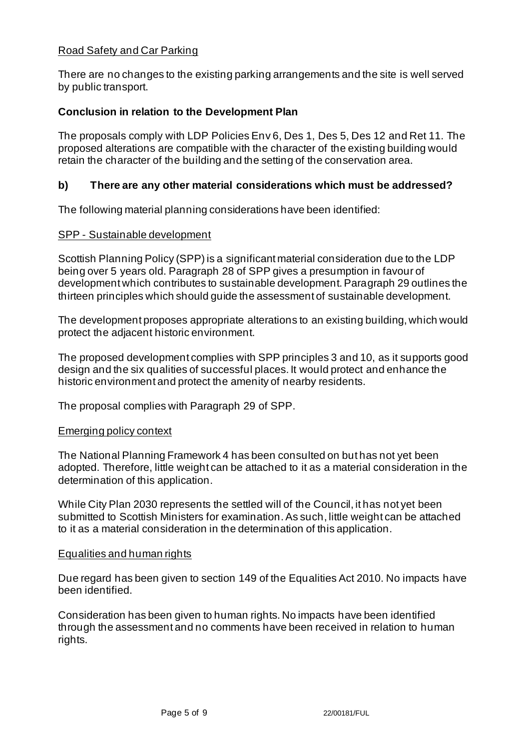## Road Safety and Car Parking

There are no changes to the existing parking arrangements and the site is well served by public transport.

## **Conclusion in relation to the Development Plan**

The proposals comply with LDP Policies Env 6, Des 1, Des 5, Des 12 and Ret 11. The proposed alterations are compatible with the character of the existing building would retain the character of the building and the setting of the conservation area.

## **b) There are any other material considerations which must be addressed?**

The following material planning considerations have been identified:

## SPP - Sustainable development

Scottish Planning Policy (SPP) is a significant material consideration due to the LDP being over 5 years old. Paragraph 28 of SPP gives a presumption in favour of development which contributes to sustainable development. Paragraph 29 outlines the thirteen principles which should guide the assessment of sustainable development.

The development proposes appropriate alterations to an existing building, which would protect the adjacent historic environment.

The proposed development complies with SPP principles 3 and 10, as it supports good design and the six qualities of successful places. It would protect and enhance the historic environment and protect the amenity of nearby residents.

The proposal complies with Paragraph 29 of SPP.

#### Emerging policy context

The National Planning Framework 4 has been consulted on but has not yet been adopted. Therefore, little weight can be attached to it as a material consideration in the determination of this application.

While City Plan 2030 represents the settled will of the Council, it has not yet been submitted to Scottish Ministers for examination. As such, little weight can be attached to it as a material consideration in the determination of this application.

#### Equalities and human rights

Due regard has been given to section 149 of the Equalities Act 2010. No impacts have been identified.

Consideration has been given to human rights. No impacts have been identified through the assessment and no comments have been received in relation to human rights.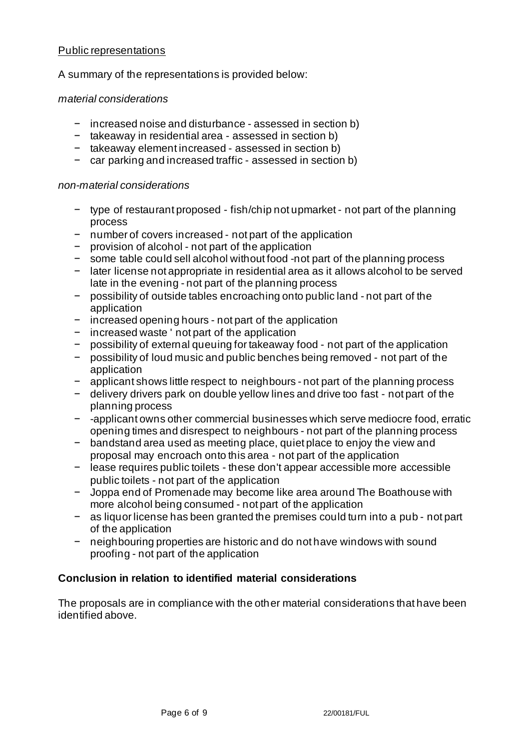## Public representations

A summary of the representations is provided below:

## *material considerations*

- − increased noise and disturbance assessed in section b)
- − takeaway in residential area assessed in section b)
- − takeaway element increased assessed in section b)
- − car parking and increased traffic assessed in section b)

## *non-material considerations*

- − type of restaurant proposed fish/chip not upmarket not part of the planning process
- − number of covers increased not part of the application
- − provision of alcohol not part of the application
- − some table could sell alcohol without food -not part of the planning process
- − later license not appropriate in residential area as it allows alcohol to be served late in the evening - not part of the planning process
- − possibility of outside tables encroaching onto public land not part of the application
- − increased opening hours not part of the application
- − increased waste ' not part of the application
- − possibility of external queuing for takeaway food not part of the application
- − possibility of loud music and public benches being removed not part of the application
- − applicant shows little respect to neighbours not part of the planning process
- − delivery drivers park on double yellow lines and drive too fast not part of the planning process
- − -applicant owns other commercial businesses which serve mediocre food, erratic opening times and disrespect to neighbours - not part of the planning process
- − bandstand area used as meeting place, quiet place to enjoy the view and proposal may encroach onto this area - not part of the application
- − lease requires public toilets these don't appear accessible more accessible public toilets - not part of the application
- − Joppa end of Promenade may become like area around The Boathouse with more alcohol being consumed - not part of the application
- − as liquor license has been granted the premises could turn into a pub not part of the application
- − neighbouring properties are historic and do not have windows with sound proofing - not part of the application

## **Conclusion in relation to identified material considerations**

The proposals are in compliance with the other material considerations that have been identified above.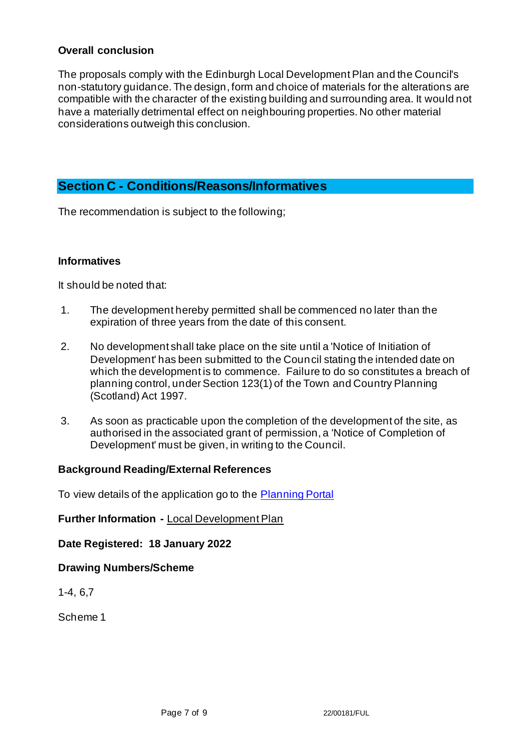## **Overall conclusion**

The proposals comply with the Edinburgh Local Development Plan and the Council's non-statutory guidance. The design, form and choice of materials for the alterations are compatible with the character of the existing building and surrounding area. It would not have a materially detrimental effect on neighbouring properties. No other material considerations outweigh this conclusion.

## **Section C - Conditions/Reasons/Informatives**

The recommendation is subject to the following;

## **Informatives**

It should be noted that:

- 1. The development hereby permitted shall be commenced no later than the expiration of three years from the date of this consent.
- 2. No development shall take place on the site until a 'Notice of Initiation of Development' has been submitted to the Council stating the intended date on which the development is to commence. Failure to do so constitutes a breach of planning control, under Section 123(1) of the Town and Country Planning (Scotland) Act 1997.
- 3. As soon as practicable upon the completion of the development of the site, as authorised in the associated grant of permission, a 'Notice of Completion of Development' must be given, in writing to the Council.

## **Background Reading/External References**

To view details of the application go to the [Planning Portal](https://citydev-portal.edinburgh.gov.uk/idoxpa-web/applicationDetails.do?activeTab=summary&keyVal=R5WMQ4EWLLO00)

## **Further Information -** [Local Development Plan](https://www.edinburgh.gov.uk/local-development-plan-guidance-1/edinburgh-local-development-plan/1)

**Date Registered: 18 January 2022**

**Drawing Numbers/Scheme**

1-4, 6,7

Scheme 1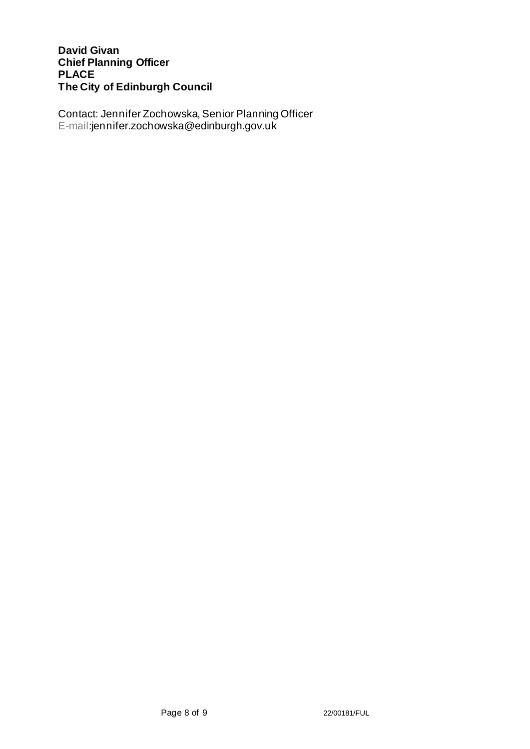## **David Givan Chief Planning Officer PLACE The City of Edinburgh Council**

Contact: Jennifer Zochowska, Senior Planning Officer E-mail:jennifer.zochowska@edinburgh.gov.uk